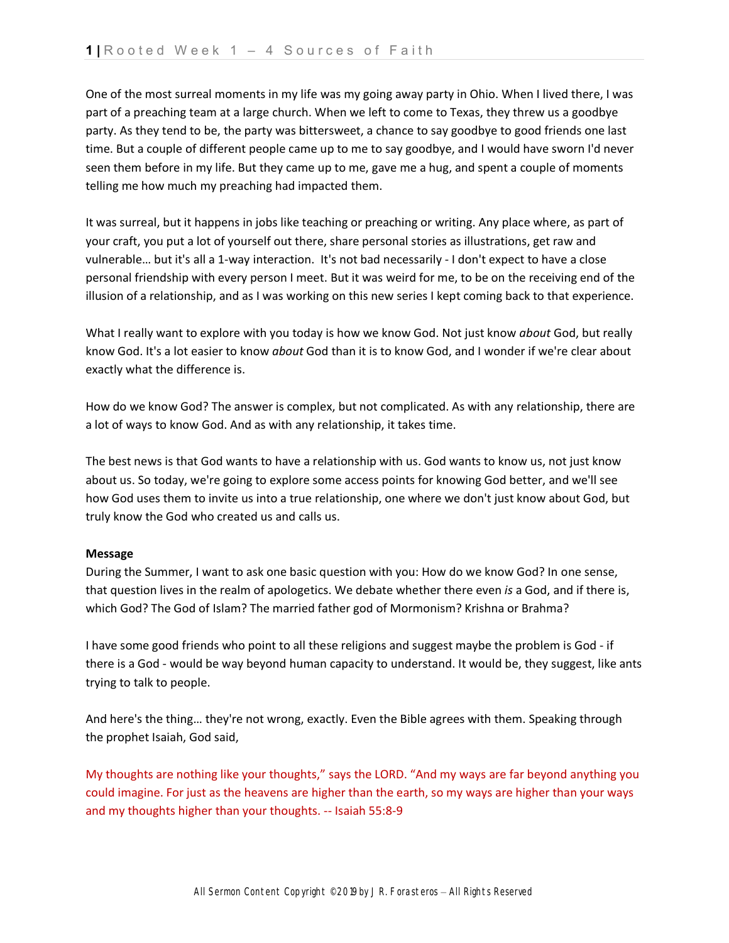One of the most surreal moments in my life was my going away party in Ohio. When I lived there, I was part of a preaching team at a large church. When we left to come to Texas, they threw us a goodbye party. As they tend to be, the party was bittersweet, a chance to say goodbye to good friends one last time. But a couple of different people came up to me to say goodbye, and I would have sworn I'd never seen them before in my life. But they came up to me, gave me a hug, and spent a couple of moments telling me how much my preaching had impacted them.

It was surreal, but it happens in jobs like teaching or preaching or writing. Any place where, as part of your craft, you put a lot of yourself out there, share personal stories as illustrations, get raw and vulnerable… but it's all a 1-way interaction. It's not bad necessarily - I don't expect to have a close personal friendship with every person I meet. But it was weird for me, to be on the receiving end of the illusion of a relationship, and as I was working on this new series I kept coming back to that experience.

What I really want to explore with you today is how we know God. Not just know *about* God, but really know God. It's a lot easier to know *about* God than it is to know God, and I wonder if we're clear about exactly what the difference is.

How do we know God? The answer is complex, but not complicated. As with any relationship, there are a lot of ways to know God. And as with any relationship, it takes time.

The best news is that God wants to have a relationship with us. God wants to know us, not just know about us. So today, we're going to explore some access points for knowing God better, and we'll see how God uses them to invite us into a true relationship, one where we don't just know about God, but truly know the God who created us and calls us.

#### **Message**

During the Summer, I want to ask one basic question with you: How do we know God? In one sense, that question lives in the realm of apologetics. We debate whether there even *is* a God, and if there is, which God? The God of Islam? The married father god of Mormonism? Krishna or Brahma?

I have some good friends who point to all these religions and suggest maybe the problem is God - if there is a God - would be way beyond human capacity to understand. It would be, they suggest, like ants trying to talk to people.

And here's the thing… they're not wrong, exactly. Even the Bible agrees with them. Speaking through the prophet Isaiah, God said,

My thoughts are nothing like your thoughts," says the LORD. "And my ways are far beyond anything you could imagine. For just as the heavens are higher than the earth, so my ways are higher than your ways and my thoughts higher than your thoughts. -- Isaiah 55:8-9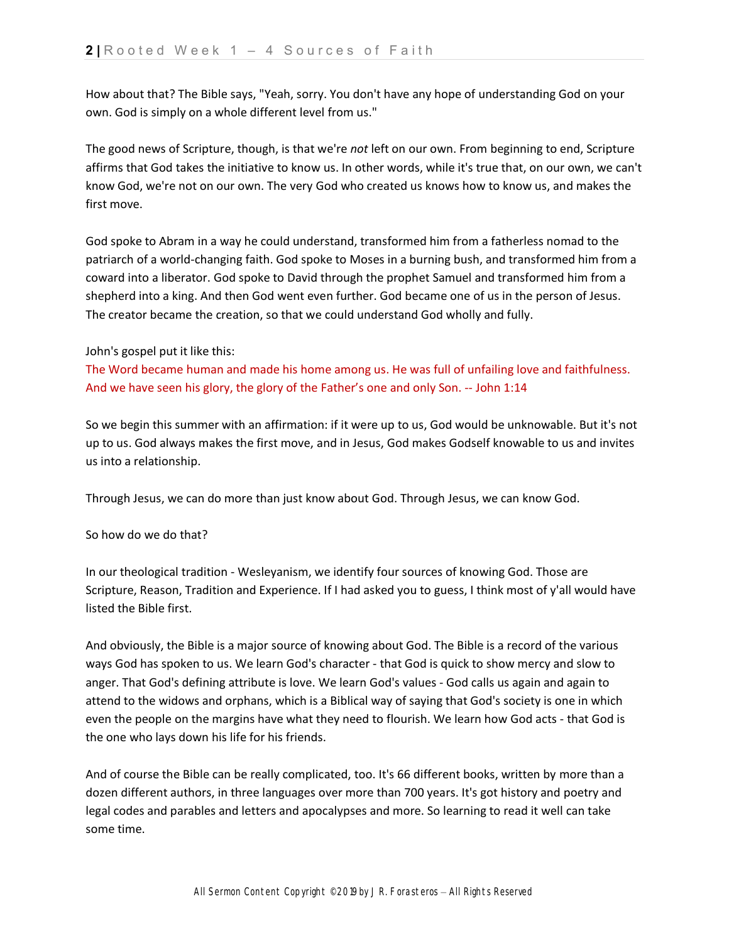How about that? The Bible says, "Yeah, sorry. You don't have any hope of understanding God on your own. God is simply on a whole different level from us."

The good news of Scripture, though, is that we're *not* left on our own. From beginning to end, Scripture affirms that God takes the initiative to know us. In other words, while it's true that, on our own, we can't know God, we're not on our own. The very God who created us knows how to know us, and makes the first move.

God spoke to Abram in a way he could understand, transformed him from a fatherless nomad to the patriarch of a world-changing faith. God spoke to Moses in a burning bush, and transformed him from a coward into a liberator. God spoke to David through the prophet Samuel and transformed him from a shepherd into a king. And then God went even further. God became one of us in the person of Jesus. The creator became the creation, so that we could understand God wholly and fully.

# John's gospel put it like this:

The Word became human and made his home among us. He was full of unfailing love and faithfulness. And we have seen his glory, the glory of the Father's one and only Son. -- John 1:14

So we begin this summer with an affirmation: if it were up to us, God would be unknowable. But it's not up to us. God always makes the first move, and in Jesus, God makes Godself knowable to us and invites us into a relationship.

Through Jesus, we can do more than just know about God. Through Jesus, we can know God.

#### So how do we do that?

In our theological tradition - Wesleyanism, we identify four sources of knowing God. Those are Scripture, Reason, Tradition and Experience. If I had asked you to guess, I think most of y'all would have listed the Bible first.

And obviously, the Bible is a major source of knowing about God. The Bible is a record of the various ways God has spoken to us. We learn God's character - that God is quick to show mercy and slow to anger. That God's defining attribute is love. We learn God's values - God calls us again and again to attend to the widows and orphans, which is a Biblical way of saying that God's society is one in which even the people on the margins have what they need to flourish. We learn how God acts - that God is the one who lays down his life for his friends.

And of course the Bible can be really complicated, too. It's 66 different books, written by more than a dozen different authors, in three languages over more than 700 years. It's got history and poetry and legal codes and parables and letters and apocalypses and more. So learning to read it well can take some time.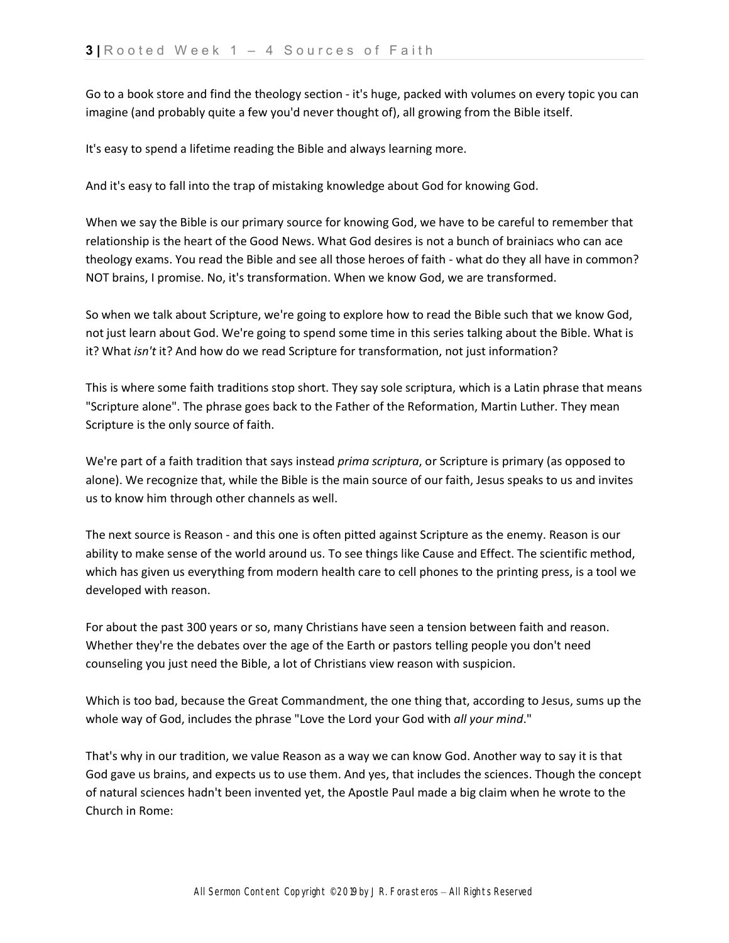Go to a book store and find the theology section - it's huge, packed with volumes on every topic you can imagine (and probably quite a few you'd never thought of), all growing from the Bible itself.

It's easy to spend a lifetime reading the Bible and always learning more.

And it's easy to fall into the trap of mistaking knowledge about God for knowing God.

When we say the Bible is our primary source for knowing God, we have to be careful to remember that relationship is the heart of the Good News. What God desires is not a bunch of brainiacs who can ace theology exams. You read the Bible and see all those heroes of faith - what do they all have in common? NOT brains, I promise. No, it's transformation. When we know God, we are transformed.

So when we talk about Scripture, we're going to explore how to read the Bible such that we know God, not just learn about God. We're going to spend some time in this series talking about the Bible. What is it? What *isn't* it? And how do we read Scripture for transformation, not just information?

This is where some faith traditions stop short. They say sole scriptura, which is a Latin phrase that means "Scripture alone". The phrase goes back to the Father of the Reformation, Martin Luther. They mean Scripture is the only source of faith.

We're part of a faith tradition that says instead *prima scriptura*, or Scripture is primary (as opposed to alone). We recognize that, while the Bible is the main source of our faith, Jesus speaks to us and invites us to know him through other channels as well.

The next source is Reason - and this one is often pitted against Scripture as the enemy. Reason is our ability to make sense of the world around us. To see things like Cause and Effect. The scientific method, which has given us everything from modern health care to cell phones to the printing press, is a tool we developed with reason.

For about the past 300 years or so, many Christians have seen a tension between faith and reason. Whether they're the debates over the age of the Earth or pastors telling people you don't need counseling you just need the Bible, a lot of Christians view reason with suspicion.

Which is too bad, because the Great Commandment, the one thing that, according to Jesus, sums up the whole way of God, includes the phrase "Love the Lord your God with *all your mind*."

That's why in our tradition, we value Reason as a way we can know God. Another way to say it is that God gave us brains, and expects us to use them. And yes, that includes the sciences. Though the concept of natural sciences hadn't been invented yet, the Apostle Paul made a big claim when he wrote to the Church in Rome: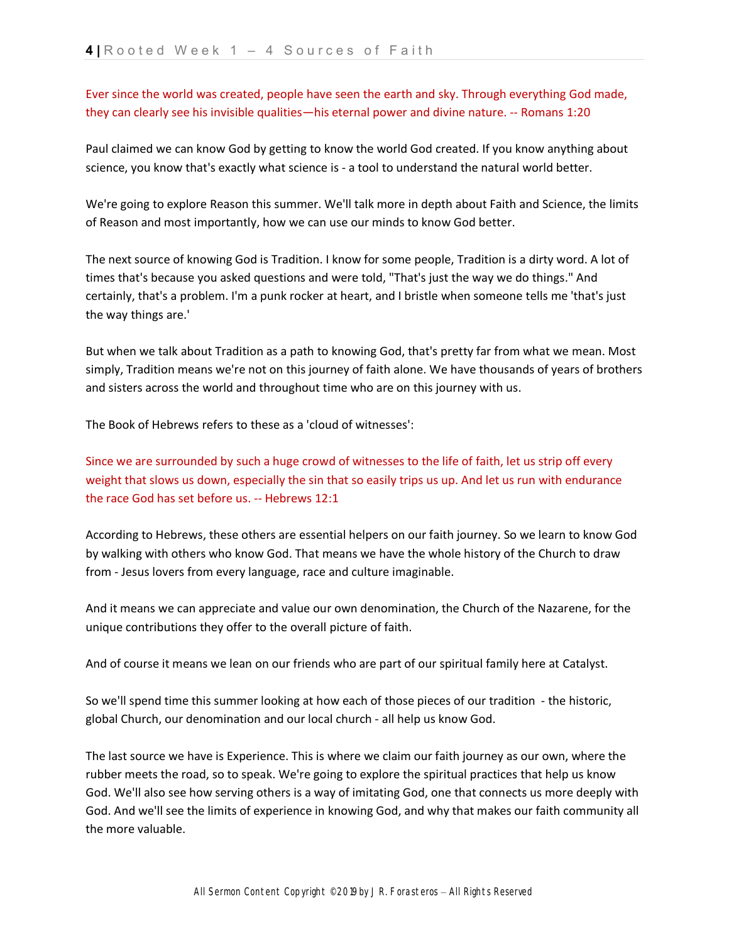Ever since the world was created, people have seen the earth and sky. Through everything God made, they can clearly see his invisible qualities—his eternal power and divine nature. -- Romans 1:20

Paul claimed we can know God by getting to know the world God created. If you know anything about science, you know that's exactly what science is - a tool to understand the natural world better.

We're going to explore Reason this summer. We'll talk more in depth about Faith and Science, the limits of Reason and most importantly, how we can use our minds to know God better.

The next source of knowing God is Tradition. I know for some people, Tradition is a dirty word. A lot of times that's because you asked questions and were told, "That's just the way we do things." And certainly, that's a problem. I'm a punk rocker at heart, and I bristle when someone tells me 'that's just the way things are.'

But when we talk about Tradition as a path to knowing God, that's pretty far from what we mean. Most simply, Tradition means we're not on this journey of faith alone. We have thousands of years of brothers and sisters across the world and throughout time who are on this journey with us.

The Book of Hebrews refers to these as a 'cloud of witnesses':

Since we are surrounded by such a huge crowd of witnesses to the life of faith, let us strip off every weight that slows us down, especially the sin that so easily trips us up. And let us run with endurance the race God has set before us. -- Hebrews 12:1

According to Hebrews, these others are essential helpers on our faith journey. So we learn to know God by walking with others who know God. That means we have the whole history of the Church to draw from - Jesus lovers from every language, race and culture imaginable.

And it means we can appreciate and value our own denomination, the Church of the Nazarene, for the unique contributions they offer to the overall picture of faith.

And of course it means we lean on our friends who are part of our spiritual family here at Catalyst.

So we'll spend time this summer looking at how each of those pieces of our tradition - the historic, global Church, our denomination and our local church - all help us know God.

The last source we have is Experience. This is where we claim our faith journey as our own, where the rubber meets the road, so to speak. We're going to explore the spiritual practices that help us know God. We'll also see how serving others is a way of imitating God, one that connects us more deeply with God. And we'll see the limits of experience in knowing God, and why that makes our faith community all the more valuable.